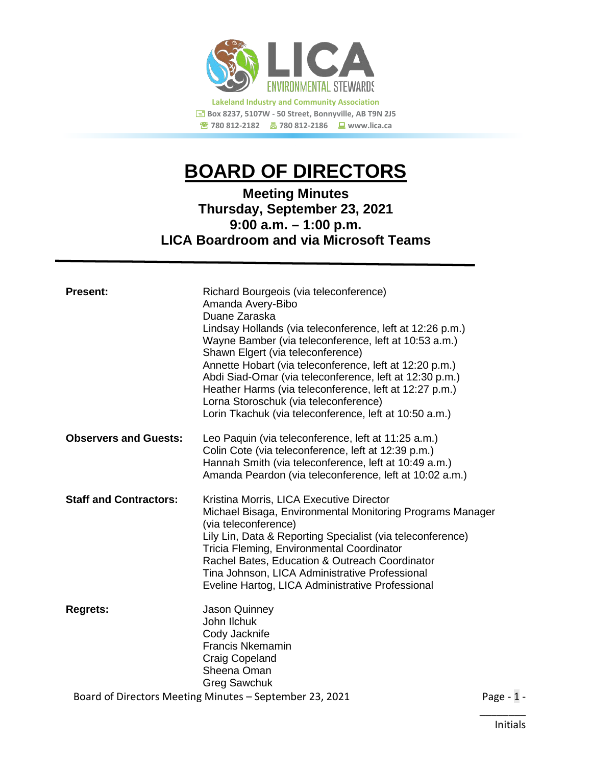

# **BOARD OF DIRECTORS**

# **Meeting Minutes Thursday, September 23, 2021 9:00 a.m. – 1:00 p.m. LICA Boardroom and via Microsoft Teams**

| <b>Present:</b>                                         | Richard Bourgeois (via teleconference)<br>Amanda Avery-Bibo<br>Duane Zaraska<br>Lindsay Hollands (via teleconference, left at 12:26 p.m.)<br>Wayne Bamber (via teleconference, left at 10:53 a.m.)<br>Shawn Elgert (via teleconference)<br>Annette Hobart (via teleconference, left at 12:20 p.m.)<br>Abdi Siad-Omar (via teleconference, left at 12:30 p.m.)<br>Heather Harms (via teleconference, left at 12:27 p.m.)<br>Lorna Storoschuk (via teleconference)<br>Lorin Tkachuk (via teleconference, left at 10:50 a.m.) |  |
|---------------------------------------------------------|----------------------------------------------------------------------------------------------------------------------------------------------------------------------------------------------------------------------------------------------------------------------------------------------------------------------------------------------------------------------------------------------------------------------------------------------------------------------------------------------------------------------------|--|
| <b>Observers and Guests:</b>                            | Leo Paquin (via teleconference, left at 11:25 a.m.)<br>Colin Cote (via teleconference, left at 12:39 p.m.)<br>Hannah Smith (via teleconference, left at 10:49 a.m.)<br>Amanda Peardon (via teleconference, left at 10:02 a.m.)                                                                                                                                                                                                                                                                                             |  |
| <b>Staff and Contractors:</b>                           | Kristina Morris, LICA Executive Director<br>Michael Bisaga, Environmental Monitoring Programs Manager<br>(via teleconference)<br>Lily Lin, Data & Reporting Specialist (via teleconference)<br>Tricia Fleming, Environmental Coordinator<br>Rachel Bates, Education & Outreach Coordinator<br>Tina Johnson, LICA Administrative Professional<br>Eveline Hartog, LICA Administrative Professional                                                                                                                           |  |
| <b>Regrets:</b>                                         | <b>Jason Quinney</b><br>John Ilchuk<br>Cody Jacknife<br><b>Francis Nkemamin</b><br><b>Craig Copeland</b><br>Sheena Oman<br><b>Greg Sawchuk</b>                                                                                                                                                                                                                                                                                                                                                                             |  |
| Board of Directors Meeting Minutes - September 23, 2021 |                                                                                                                                                                                                                                                                                                                                                                                                                                                                                                                            |  |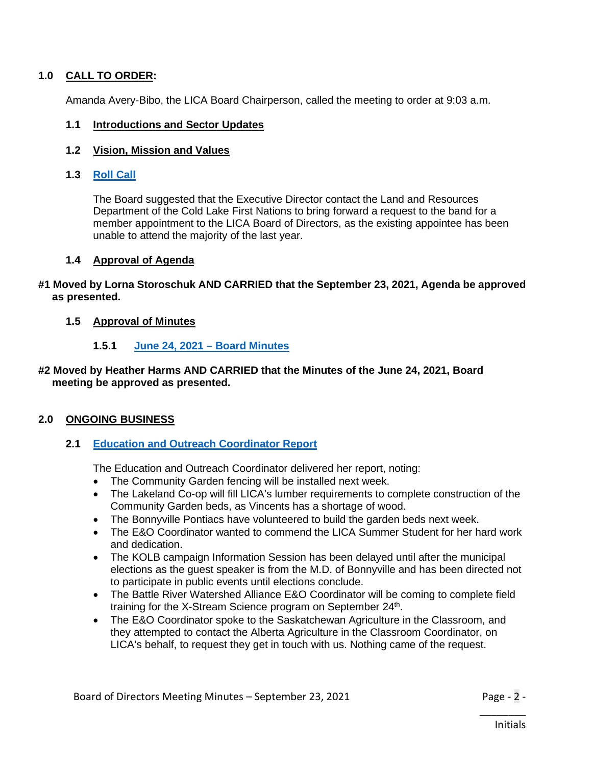### 1.0 CALL TO ORDER:

Amanda Avery-Bibo, the LICA Board Chairperson, called the meeting to order at 9:03 a.m.

#### **1.1 Introductions and Sector Updates**

#### **1.2 Vision, Mission and Values**

#### **1.3 [Roll Call](https://lica2.sharepoint.com/sites/Office/Shared%20Documents/Board/Agendas/2021-22/September%202021/1.3%20Roll%20Call%20June%202021.pdf)**

The Board suggested that the Executive Director contact the Land and Resources Department of the Cold Lake First Nations to bring forward a request to the band for a member appointment to the LICA Board of Directors, as the existing appointee has been unable to attend the majority of the last year.

#### **1.4 Approval of Agenda**

#### **#1 Moved by Lorna Storoschuk AND CARRIED that the September 23, 2021, Agenda be approved as presented.**

#### **1.5 Approval of Minutes**

#### **1.5.1 [June 24, 2021](https://lica2.sharepoint.com/sites/Office/Shared%20Documents/Board/Agendas/2021-22/September%202021/1.5.1%20June%2024,%202021%20Board%20Minutes%20-%20Draft.pdf) – Board Minutes**

#### **#2 Moved by Heather Harms AND CARRIED that the Minutes of the June 24, 2021, Board meeting be approved as presented.**

#### **2.0 ONGOING BUSINESS**

#### **2.1 [Education and Outreach](https://lica2.sharepoint.com/sites/Office/Shared%20Documents/Board/Agendas/2021-22/September%202021/2.1%20E&O%20Coordinator%20Report.pdf) Coordinator Report**

The Education and Outreach Coordinator delivered her report, noting:

- The Community Garden fencing will be installed next week.
- The Lakeland Co-op will fill LICA's lumber requirements to complete construction of the Community Garden beds, as Vincents has a shortage of wood.
- The Bonnyville Pontiacs have volunteered to build the garden beds next week.
- The E&O Coordinator wanted to commend the LICA Summer Student for her hard work and dedication.
- The KOLB campaign Information Session has been delayed until after the municipal elections as the guest speaker is from the M.D. of Bonnyville and has been directed not to participate in public events until elections conclude.
- The Battle River Watershed Alliance E&O Coordinator will be coming to complete field training for the X-Stream Science program on September 24<sup>th</sup>.
- The E&O Coordinator spoke to the Saskatchewan Agriculture in the Classroom, and they attempted to contact the Alberta Agriculture in the Classroom Coordinator, on LICA's behalf, to request they get in touch with us. Nothing came of the request.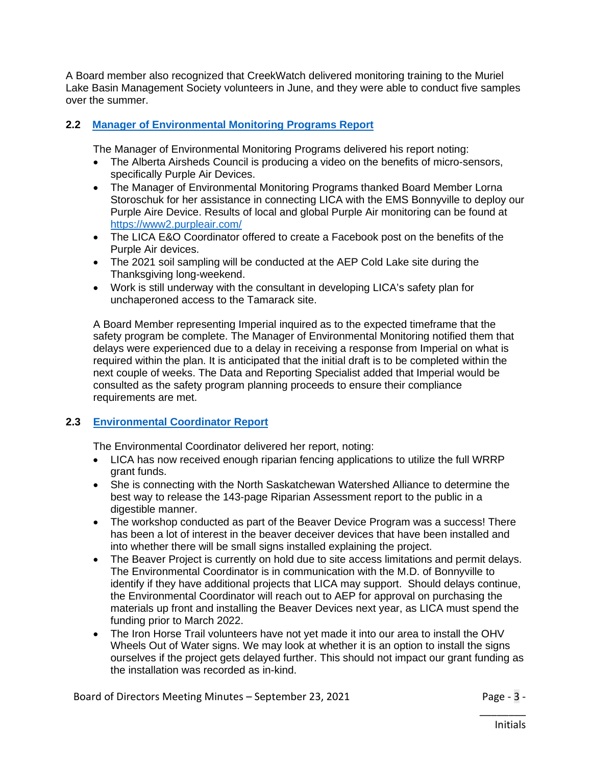A Board member also recognized that CreekWatch delivered monitoring training to the Muriel Lake Basin Management Society volunteers in June, and they were able to conduct five samples over the summer.

# **2.2 [Manager of Environmental Monitoring Programs Report](https://lica2.sharepoint.com/sites/Office/Shared%20Documents/Board/Agendas/2021-22/September%202021/2.2%20Environmental%20Monitoring%20Programs%20Report.pdf)**

The Manager of Environmental Monitoring Programs delivered his report noting:

- The Alberta Airsheds Council is producing a video on the benefits of micro-sensors, specifically Purple Air Devices.
- The Manager of Environmental Monitoring Programs thanked Board Member Lorna Storoschuk for her assistance in connecting LICA with the EMS Bonnyville to deploy our Purple Aire Device. Results of local and global Purple Air monitoring can be found at <https://www2.purpleair.com/>
- The LICA E&O Coordinator offered to create a Facebook post on the benefits of the Purple Air devices.
- The 2021 soil sampling will be conducted at the AEP Cold Lake site during the Thanksgiving long-weekend.
- Work is still underway with the consultant in developing LICA's safety plan for unchaperoned access to the Tamarack site.

A Board Member representing Imperial inquired as to the expected timeframe that the safety program be complete. The Manager of Environmental Monitoring notified them that delays were experienced due to a delay in receiving a response from Imperial on what is required within the plan. It is anticipated that the initial draft is to be completed within the next couple of weeks. The Data and Reporting Specialist added that Imperial would be consulted as the safety program planning proceeds to ensure their compliance requirements are met.

# **2.3 [Environmental Coordinator](https://lica2.sharepoint.com/sites/Office/Shared%20Documents/Board/Agendas/2021-22/September%202021) Report**

The Environmental Coordinator delivered her report, noting:

- LICA has now received enough riparian fencing applications to utilize the full WRRP grant funds.
- She is connecting with the North Saskatchewan Watershed Alliance to determine the best way to release the 143-page Riparian Assessment report to the public in a digestible manner.
- The workshop conducted as part of the Beaver Device Program was a success! There has been a lot of interest in the beaver deceiver devices that have been installed and into whether there will be small signs installed explaining the project.
- The Beaver Project is currently on hold due to site access limitations and permit delays. The Environmental Coordinator is in communication with the M.D. of Bonnyville to identify if they have additional projects that LICA may support. Should delays continue, the Environmental Coordinator will reach out to AEP for approval on purchasing the materials up front and installing the Beaver Devices next year, as LICA must spend the funding prior to March 2022.
- The Iron Horse Trail volunteers have not yet made it into our area to install the OHV Wheels Out of Water signs. We may look at whether it is an option to install the signs ourselves if the project gets delayed further. This should not impact our grant funding as the installation was recorded as in-kind.

Board of Directors Meeting Minutes – September 23, 2021 Page - 3 -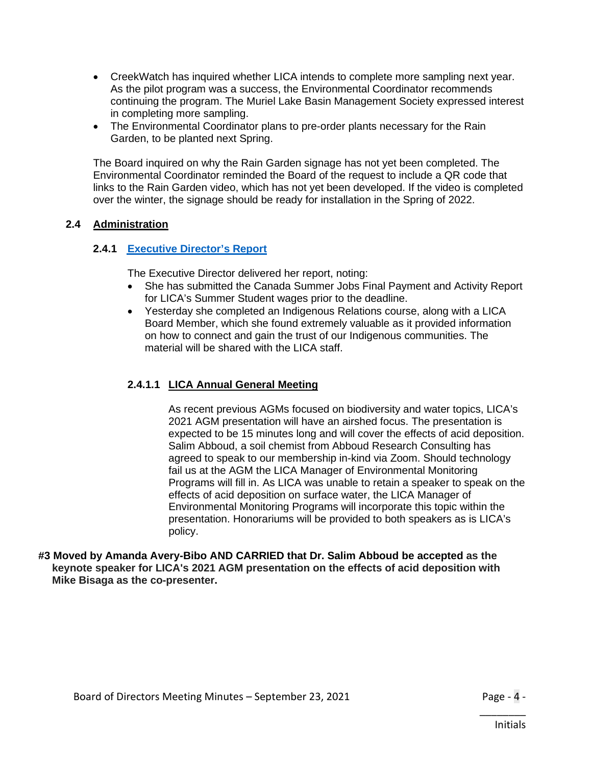- CreekWatch has inquired whether LICA intends to complete more sampling next year. As the pilot program was a success, the Environmental Coordinator recommends continuing the program. The Muriel Lake Basin Management Society expressed interest in completing more sampling.
- The Environmental Coordinator plans to pre-order plants necessary for the Rain Garden, to be planted next Spring.

The Board inquired on why the Rain Garden signage has not yet been completed. The Environmental Coordinator reminded the Board of the request to include a QR code that links to the Rain Garden video, which has not yet been developed. If the video is completed over the winter, the signage should be ready for installation in the Spring of 2022.

# **2.4 Administration**

# **2.4.1 [Executive Director's Report](https://lica2.sharepoint.com/sites/Office/Shared%20Documents/Board/Agendas/2021-22/September%202021/2.4.1%20Executive%20Director%20Report%20-%20Sept%2016,%202021.pdf)**

The Executive Director delivered her report, noting:

- She has submitted the Canada Summer Jobs Final Payment and Activity Report for LICA's Summer Student wages prior to the deadline.
- Yesterday she completed an Indigenous Relations course, along with a LICA Board Member, which she found extremely valuable as it provided information on how to connect and gain the trust of our Indigenous communities. The material will be shared with the LICA staff.

# **2.4.1.1 LICA Annual General Meeting**

As recent previous AGMs focused on biodiversity and water topics, LICA's 2021 AGM presentation will have an airshed focus. The presentation is expected to be 15 minutes long and will cover the effects of acid deposition. Salim Abboud, a soil chemist from Abboud Research Consulting has agreed to speak to our membership in-kind via Zoom. Should technology fail us at the AGM the LICA Manager of Environmental Monitoring Programs will fill in. As LICA was unable to retain a speaker to speak on the effects of acid deposition on surface water, the LICA Manager of Environmental Monitoring Programs will incorporate this topic within the presentation. Honorariums will be provided to both speakers as is LICA's policy.

#### **#3 Moved by Amanda Avery-Bibo AND CARRIED that Dr. Salim Abboud be accepted as the keynote speaker for LICA's 2021 AGM presentation on the effects of acid deposition with Mike Bisaga as the co-presenter.**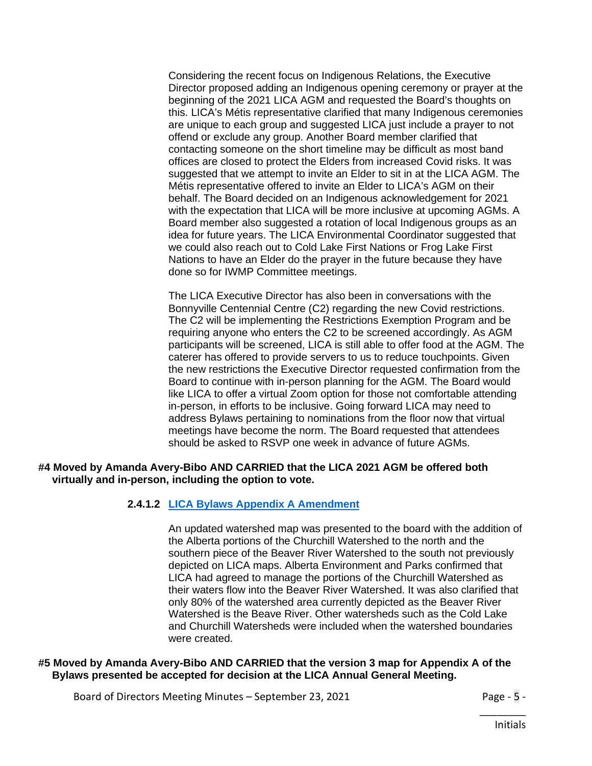Considering the recent focus on Indigenous Relations, the Executive Director proposed adding an Indigenous opening ceremony or prayer at the beginning of the 2021 LICA AGM and requested the Board's thoughts on this. LICA's Métis representative clarified that many Indigenous ceremonies are unique to each group and suggested LICA just include a prayer to not offend or exclude any group. Another Board member clarified that contacting someone on the short timeline may be difficult as most band offices are closed to protect the Elders from increased Covid risks. It was suggested that we attempt to invite an Elder to sit in at the LICA AGM. The Métis representative offered to invite an Elder to LICA's AGM on their behalf. The Board decided on an Indigenous acknowledgement for 2021 with the expectation that LICA will be more inclusive at upcoming AGMs. A Board member also suggested a rotation of local Indigenous groups as an idea for future years. The LICA Environmental Coordinator suggested that we could also reach out to Cold Lake First Nations or Frog Lake First Nations to have an Elder do the prayer in the future because they have done so for IWMP Committee meetings.

The LICA Executive Director has also been in conversations with the Bonnyville Centennial Centre (C2) regarding the new Covid restrictions. The C2 will be implementing the Restrictions Exemption Program and be requiring anyone who enters the C2 to be screened accordingly. As AGM participants will be screened, LICA is still able to offer food at the AGM. The caterer has offered to provide servers to us to reduce touchpoints. Given the new restrictions the Executive Director requested confirmation from the Board to continue with in-person planning for the AGM. The Board would like LICA to offer a virtual Zoom option for those not comfortable attending in-person, in efforts to be inclusive. Going forward LICA may need to address Bylaws pertaining to nominations from the floor now that virtual meetings have become the norm. The Board requested that attendees should be asked to RSVP one week in advance of future AGMs.

#### **#4 Moved by Amanda Avery-Bibo AND CARRIED that the LICA 2021 AGM be offered both virtually and in-person, including the option to vote.**

#### **2.4.1.2 [LICA Bylaws Appendix A Amendment](https://lica2.sharepoint.com/sites/Office/Shared%20Documents/Board/Agendas/2021-22/September%202021/LICA%20BYLAWS%20(For%20Approval%20at%20AGM).pdf)**

An updated watershed map was presented to the board with the addition of the Alberta portions of the Churchill Watershed to the north and the southern piece of the Beaver River Watershed to the south not previously depicted on LICA maps. Alberta Environment and Parks confirmed that LICA had agreed to manage the portions of the Churchill Watershed as their waters flow into the Beaver River Watershed. It was also clarified that only 80% of the watershed area currently depicted as the Beaver River Watershed is the Beave River. Other watersheds such as the Cold Lake and Churchill Watersheds were included when the watershed boundaries were created.

#### **#5 Moved by Amanda Avery-Bibo AND CARRIED that the version 3 map for Appendix A of the Bylaws presented be accepted for decision at the LICA Annual General Meeting.**

Board of Directors Meeting Minutes – September 23, 2021 Page - 5 -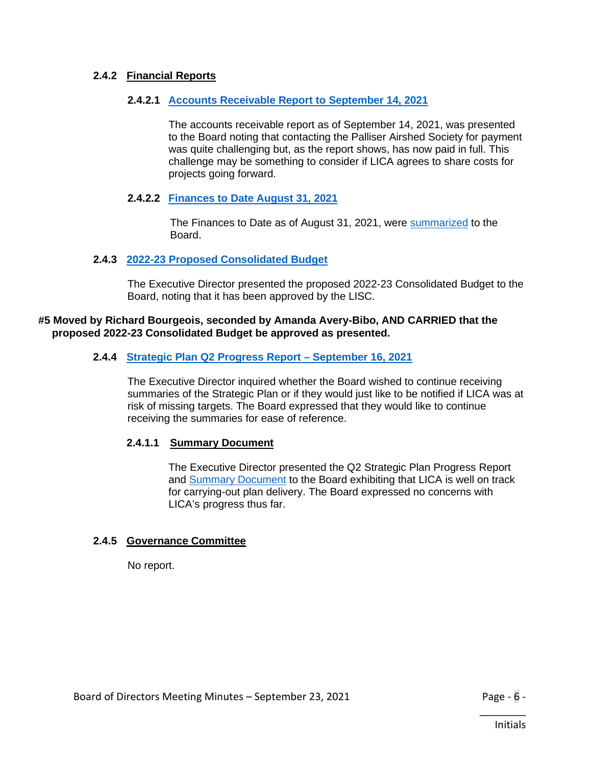# **2.4.2 Financial Reports**

#### **2.4.2.1 [Accounts Receivable Report to September 14, 2021](https://lica2.sharepoint.com/sites/Office/Shared%20Documents/Board/Agendas/2021-22/September%202021/2.4.2.1%20Accounts%20Receivable%20Report%20to%20September%2014,%202021.pdf)**

The accounts receivable report as of September 14, 2021, was presented to the Board noting that contacting the Palliser Airshed Society for payment was quite challenging but, as the report shows, has now paid in full. This challenge may be something to consider if LICA agrees to share costs for projects going forward.

#### **2.4.2.2 [Finances to Date August](https://lica2.sharepoint.com/sites/Office/Shared%20Documents/Board/Agendas/2021-22/September%202021/2.4.2.2%20Finances%20to%20Date%20August%2031,%202021.pdf) 31, 2021**

The Finances to Date as of August 31, 2021, were [summarized](https://lica2.sharepoint.com/sites/Office/Shared%20Documents/Board/Minutes/2021-2022/Minutes/September%202021/Finances%20to%20Date%20(Aug%2031).pdf) to the Board.

#### **2.4.3 2022-23 Proposed [Consolidated Budget](https://lica2.sharepoint.com/sites/Office/Shared%20Documents/Board/Agendas/2021-22/September%202021/2.4.3%20LICA%20Consolidated%20Budget%20Proposal%202022-2023.xlsx)**

The Executive Director presented the proposed 2022-23 Consolidated Budget to the Board, noting that it has been approved by the LISC.

#### **#5 Moved by Richard Bourgeois, seconded by Amanda Avery-Bibo, AND CARRIED that the proposed 2022-23 Consolidated Budget be approved as presented.**

#### **2.4.4 Strategic Plan Q2 Progress Report – [September 16, 2021](https://lica2.sharepoint.com/sites/Office/Shared%20Documents/Board/Agendas/2021-22/September%202021/2.4.4%20Strategic%20Plan%20Q2%20Progress%20Report%20-%20September%2016,%202021.pdf)**

The Executive Director inquired whether the Board wished to continue receiving summaries of the Strategic Plan or if they would just like to be notified if LICA was at risk of missing targets. The Board expressed that they would like to continue receiving the summaries for ease of reference.

#### **2.4.1.1 Summary Document**

The Executive Director presented the Q2 Strategic Plan Progress Report and [Summary Document](https://lica2.sharepoint.com/:b:/s/Office/EbaLQ9AGLuFDlWv-7gCQDy4BZNuVz4GcBm6QmEXDcTZuuQ?e=mScfV1) to the Board exhibiting that LICA is well on track for carrying-out plan delivery. The Board expressed no concerns with LICA's progress thus far.

#### **2.4.5 Governance Committee**

No report.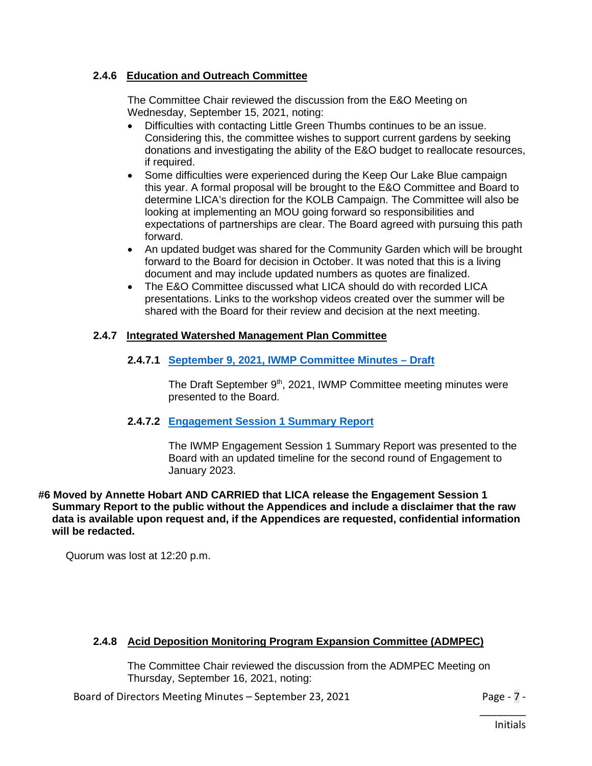# **2.4.6 Education and Outreach Committee**

The Committee Chair reviewed the discussion from the E&O Meeting on Wednesday, September 15, 2021, noting:

- Difficulties with contacting Little Green Thumbs continues to be an issue. Considering this, the committee wishes to support current gardens by seeking donations and investigating the ability of the E&O budget to reallocate resources, if required.
- Some difficulties were experienced during the Keep Our Lake Blue campaign this year. A formal proposal will be brought to the E&O Committee and Board to determine LICA's direction for the KOLB Campaign. The Committee will also be looking at implementing an MOU going forward so responsibilities and expectations of partnerships are clear. The Board agreed with pursuing this path forward.
- An updated budget was shared for the Community Garden which will be brought forward to the Board for decision in October. It was noted that this is a living document and may include updated numbers as quotes are finalized.
- The E&O Committee discussed what LICA should do with recorded LICA presentations. Links to the workshop videos created over the summer will be shared with the Board for their review and decision at the next meeting.

# **2.4.7 Integrated Watershed Management Plan Committee**

**2.4.7.1 [September 9, 2021, IWMP Committee Minutes –](https://lica2.sharepoint.com/sites/Office/Shared%20Documents/Board/Agendas/2021-22/September%202021/2.4.7.1%20September%209,%202021%20IWMPC%20Minutes%20-%20draft.pdf) Draft**

The Draft September 9<sup>th</sup>, 2021, IWMP Committee meeting minutes were presented to the Board.

#### **2.4.7.2 [Engagement Session 1 Summary Report](https://lica2.sharepoint.com/sites/Office/Shared%20Documents/Board/Agendas/2021-22/September%202021/2.4.7.2%20Engagement%20Session%20I%20Summary%20Report%20(Committee%20Version).pdf)**

The IWMP Engagement Session 1 Summary Report was presented to the Board with an updated timeline for the second round of Engagement to January 2023.

**#6 Moved by Annette Hobart AND CARRIED that LICA release the Engagement Session 1 Summary Report to the public without the Appendices and include a disclaimer that the raw data is available upon request and, if the Appendices are requested, confidential information will be redacted.**

Quorum was lost at 12:20 p.m.

# **2.4.8 Acid Deposition Monitoring Program Expansion Committee (ADMPEC)**

The Committee Chair reviewed the discussion from the ADMPEC Meeting on Thursday, September 16, 2021, noting:

Board of Directors Meeting Minutes – September 23, 2021 Page - 7 -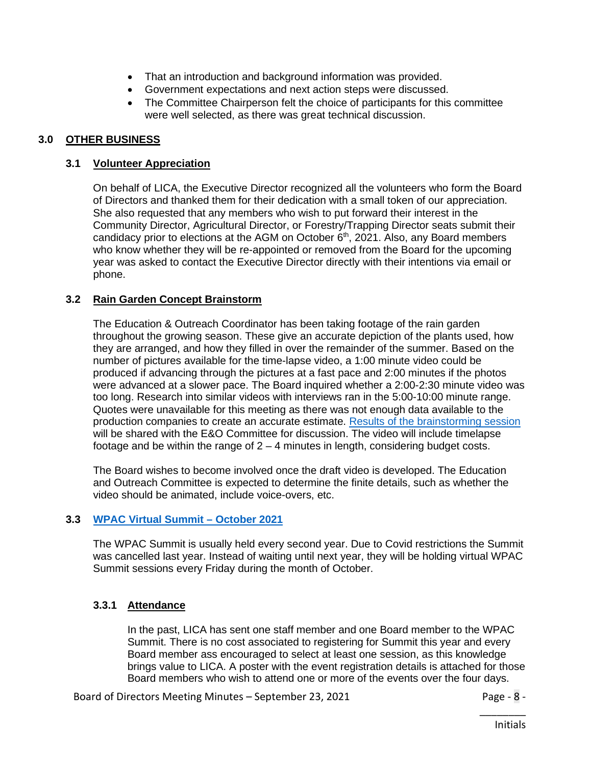- That an introduction and background information was provided.
- Government expectations and next action steps were discussed.
- The Committee Chairperson felt the choice of participants for this committee were well selected, as there was great technical discussion.

# **3.0 OTHER BUSINESS**

#### **3.1 Volunteer Appreciation**

On behalf of LICA, the Executive Director recognized all the volunteers who form the Board of Directors and thanked them for their dedication with a small token of our appreciation. She also requested that any members who wish to put forward their interest in the Community Director, Agricultural Director, or Forestry/Trapping Director seats submit their candidacy prior to elections at the AGM on October  $6<sup>th</sup>$ , 2021. Also, any Board members who know whether they will be re-appointed or removed from the Board for the upcoming year was asked to contact the Executive Director directly with their intentions via email or phone.

# **3.2 Rain Garden Concept Brainstorm**

The Education & Outreach Coordinator has been taking footage of the rain garden throughout the growing season. These give an accurate depiction of the plants used, how they are arranged, and how they filled in over the remainder of the summer. Based on the number of pictures available for the time-lapse video, a 1:00 minute video could be produced if advancing through the pictures at a fast pace and 2:00 minutes if the photos were advanced at a slower pace. The Board inquired whether a 2:00-2:30 minute video was too long. Research into similar videos with interviews ran in the 5:00-10:00 minute range. Quotes were unavailable for this meeting as there was not enough data available to the production companies to create an accurate estimate. [Results of the brainstorming session](https://lica2.sharepoint.com/sites/Office/Shared%20Documents/Board/Agendas/2021-22/September%202021/Rain%20Garden%20Concept%20Brainstorming.docx) will be shared with the E&O Committee for discussion. The video will include timelapse footage and be within the range of  $2 - 4$  minutes in length, considering budget costs.

The Board wishes to become involved once the draft video is developed. The Education and Outreach Committee is expected to determine the finite details, such as whether the video should be animated, include voice-overs, etc.

# **3.3 [WPAC Virtual Summit –](https://lica2.sharepoint.com/sites/Office/Shared%20Documents/Board/Agendas/2021-22/September%202021/3.3%20WPAC%20Summit%20Advertisment-1.pdf) October 2021**

The WPAC Summit is usually held every second year. Due to Covid restrictions the Summit was cancelled last year. Instead of waiting until next year, they will be holding virtual WPAC Summit sessions every Friday during the month of October.

# **3.3.1 Attendance**

In the past, LICA has sent one staff member and one Board member to the WPAC Summit. There is no cost associated to registering for Summit this year and every Board member ass encouraged to select at least one session, as this knowledge brings value to LICA. A poster with the event registration details is attached for those Board members who wish to attend one or more of the events over the four days.

Board of Directors Meeting Minutes – September 23, 2021 Page - 8 -